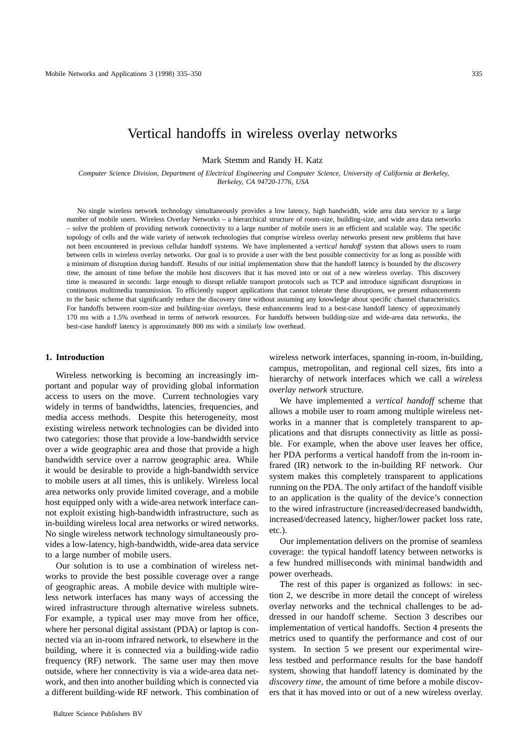# Vertical handoffs in wireless overlay networks

Mark Stemm and Randy H. Katz

*Computer Science Division, Department of Electrical Engineering and Computer Science, University of California at Berkeley, Berkeley, CA 94720-1776, USA*

No single wireless network technology simultaneously provides a low latency, high bandwidth, wide area data service to a large number of mobile users. Wireless Overlay Networks – a hierarchical structure of room-size, building-size, and wide area data networks – solve the problem of providing network connectivity to a large number of mobile users in an efficient and scalable way. The specific topology of cells and the wide variety of network technologies that comprise wireless overlay networks present new problems that have not been encountered in previous cellular handoff systems. We have implemented a *vertical handoff* system that allows users to roam between cells in wireless overlay networks. Our goal is to provide a user with the best possible connectivity for as long as possible with a minimum of disruption during handoff. Results of our initial implementation show that the handoff latency is bounded by the *discovery time*, the amount of time before the mobile host discovers that it has moved into or out of a new wireless overlay. This discovery time is measured in seconds: large enough to disrupt reliable transport protocols such as TCP and introduce significant disruptions in continuous multimedia transmission. To efficiently support applications that cannot tolerate these disruptions, we present enhancements to the basic scheme that significantly reduce the discovery time without assuming any knowledge about specific channel characteristics. For handoffs between room-size and building-size overlays, these enhancements lead to a best-case handoff latency of approximately 170 ms with a 1.5% overhead in terms of network resources. For handoffs between building-size and wide-area data networks, the best-case handoff latency is approximately 800 ms with a similarly low overhead.

### **1. Introduction**

Wireless networking is becoming an increasingly important and popular way of providing global information access to users on the move. Current technologies vary widely in terms of bandwidths, latencies, frequencies, and media access methods. Despite this heterogeneity, most existing wireless network technologies can be divided into two categories: those that provide a low-bandwidth service over a wide geographic area and those that provide a high bandwidth service over a narrow geographic area. While it would be desirable to provide a high-bandwidth service to mobile users at all times, this is unlikely. Wireless local area networks only provide limited coverage, and a mobile host equipped only with a wide-area network interface cannot exploit existing high-bandwidth infrastructure, such as in-building wireless local area networks or wired networks. No single wireless network technology simultaneously provides a low-latency, high-bandwidth, wide-area data service to a large number of mobile users.

Our solution is to use a combination of wireless networks to provide the best possible coverage over a range of geographic areas. A mobile device with multiple wireless network interfaces has many ways of accessing the wired infrastructure through alternative wireless subnets. For example, a typical user may move from her office, where her personal digital assistant (PDA) or laptop is connected via an in-room infrared network, to elsewhere in the building, where it is connected via a building-wide radio frequency (RF) network. The same user may then move outside, where her connectivity is via a wide-area data network, and then into another building which is connected via a different building-wide RF network. This combination of wireless network interfaces, spanning in-room, in-building, campus, metropolitan, and regional cell sizes, fits into a hierarchy of network interfaces which we call a *wireless overlay network* structure.

We have implemented a *vertical handoff* scheme that allows a mobile user to roam among multiple wireless networks in a manner that is completely transparent to applications and that disrupts connectivity as little as possible. For example, when the above user leaves her office, her PDA performs a vertical handoff from the in-room infrared (IR) network to the in-building RF network. Our system makes this completely transparent to applications running on the PDA. The only artifact of the handoff visible to an application is the quality of the device's connection to the wired infrastructure (increased/decreased bandwidth, increased/decreased latency, higher/lower packet loss rate, etc.).

Our implementation delivers on the promise of seamless coverage: the typical handoff latency between networks is a few hundred milliseconds with minimal bandwidth and power overheads.

The rest of this paper is organized as follows: in section 2, we describe in more detail the concept of wireless overlay networks and the technical challenges to be addressed in our handoff scheme. Section 3 describes our implementation of vertical handoffs. Section 4 presents the metrics used to quantify the performance and cost of our system. In section 5 we present our experimental wireless testbed and performance results for the base handoff system, showing that handoff latency is dominated by the *discovery time*, the amount of time before a mobile discovers that it has moved into or out of a new wireless overlay.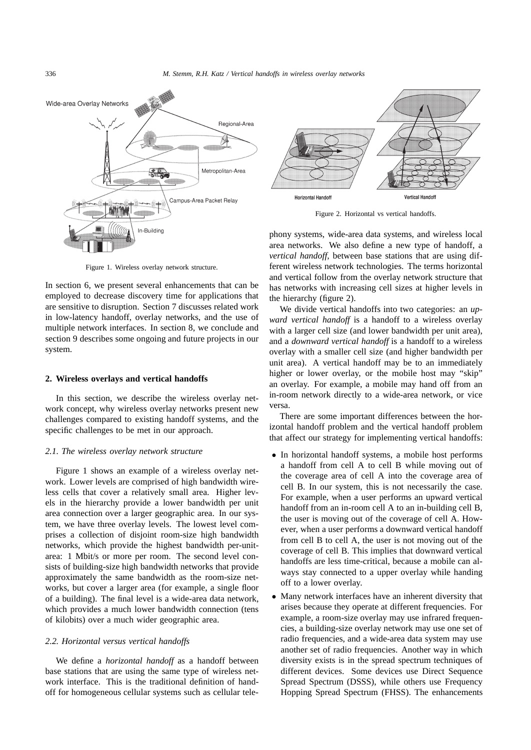



Figure 2. Horizontal vs vertical handoffs.

Figure 1. Wireless overlay network structure.

In section 6, we present several enhancements that can be employed to decrease discovery time for applications that are sensitive to disruption. Section 7 discusses related work in low-latency handoff, overlay networks, and the use of multiple network interfaces. In section 8, we conclude and section 9 describes some ongoing and future projects in our system.

#### **2. Wireless overlays and vertical handoffs**

In this section, we describe the wireless overlay network concept, why wireless overlay networks present new challenges compared to existing handoff systems, and the specific challenges to be met in our approach.

#### *2.1. The wireless overlay network structure*

Figure 1 shows an example of a wireless overlay network. Lower levels are comprised of high bandwidth wireless cells that cover a relatively small area. Higher levels in the hierarchy provide a lower bandwidth per unit area connection over a larger geographic area. In our system, we have three overlay levels. The lowest level comprises a collection of disjoint room-size high bandwidth networks, which provide the highest bandwidth per-unitarea: 1 Mbit/s or more per room. The second level consists of building-size high bandwidth networks that provide approximately the same bandwidth as the room-size networks, but cover a larger area (for example, a single floor of a building). The final level is a wide-area data network, which provides a much lower bandwidth connection (tens of kilobits) over a much wider geographic area.

### *2.2. Horizontal versus vertical handoffs*

We define a *horizontal handoff* as a handoff between base stations that are using the same type of wireless network interface. This is the traditional definition of handoff for homogeneous cellular systems such as cellular telephony systems, wide-area data systems, and wireless local area networks. We also define a new type of handoff, a *vertical handoff,* between base stations that are using different wireless network technologies. The terms horizontal and vertical follow from the overlay network structure that has networks with increasing cell sizes at higher levels in the hierarchy (figure 2).

We divide vertical handoffs into two categories: an *upward vertical handoff* is a handoff to a wireless overlay with a larger cell size (and lower bandwidth per unit area), and a *downward vertical handoff* is a handoff to a wireless overlay with a smaller cell size (and higher bandwidth per unit area). A vertical handoff may be to an immediately higher or lower overlay, or the mobile host may "skip" an overlay. For example, a mobile may hand off from an in-room network directly to a wide-area network, or vice versa.

There are some important differences between the horizontal handoff problem and the vertical handoff problem that affect our strategy for implementing vertical handoffs:

- In horizontal handoff systems, a mobile host performs a handoff from cell A to cell B while moving out of the coverage area of cell A into the coverage area of cell B. In our system, this is not necessarily the case. For example, when a user performs an upward vertical handoff from an in-room cell A to an in-building cell B, the user is moving out of the coverage of cell A. However, when a user performs a downward vertical handoff from cell B to cell A, the user is not moving out of the coverage of cell B. This implies that downward vertical handoffs are less time-critical, because a mobile can always stay connected to a upper overlay while handing off to a lower overlay.
- Many network interfaces have an inherent diversity that arises because they operate at different frequencies. For example, a room-size overlay may use infrared frequencies, a building-size overlay network may use one set of radio frequencies, and a wide-area data system may use another set of radio frequencies. Another way in which diversity exists is in the spread spectrum techniques of different devices. Some devices use Direct Sequence Spread Spectrum (DSSS), while others use Frequency Hopping Spread Spectrum (FHSS). The enhancements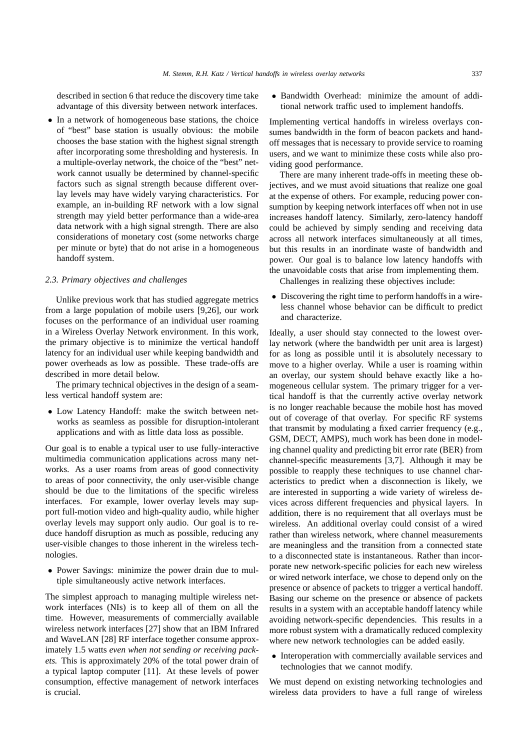described in section 6 that reduce the discovery time take advantage of this diversity between network interfaces.

• In a network of homogeneous base stations, the choice of "best" base station is usually obvious: the mobile chooses the base station with the highest signal strength after incorporating some thresholding and hysteresis. In a multiple-overlay network, the choice of the "best" network cannot usually be determined by channel-specific factors such as signal strength because different overlay levels may have widely varying characteristics. For example, an in-building RF network with a low signal strength may yield better performance than a wide-area data network with a high signal strength. There are also considerations of monetary cost (some networks charge per minute or byte) that do not arise in a homogeneous handoff system.

# *2.3. Primary objectives and challenges*

Unlike previous work that has studied aggregate metrics from a large population of mobile users [9,26], our work focuses on the performance of an individual user roaming in a Wireless Overlay Network environment. In this work, the primary objective is to minimize the vertical handoff latency for an individual user while keeping bandwidth and power overheads as low as possible. These trade-offs are described in more detail below.

The primary technical objectives in the design of a seamless vertical handoff system are:

• Low Latency Handoff: make the switch between networks as seamless as possible for disruption-intolerant applications and with as little data loss as possible.

Our goal is to enable a typical user to use fully-interactive multimedia communication applications across many networks. As a user roams from areas of good connectivity to areas of poor connectivity, the only user-visible change should be due to the limitations of the specific wireless interfaces. For example, lower overlay levels may support full-motion video and high-quality audio, while higher overlay levels may support only audio. Our goal is to reduce handoff disruption as much as possible, reducing any user-visible changes to those inherent in the wireless technologies.

• Power Savings: minimize the power drain due to multiple simultaneously active network interfaces.

The simplest approach to managing multiple wireless network interfaces (NIs) is to keep all of them on all the time. However, measurements of commercially available wireless network interfaces [27] show that an IBM Infrared and WaveLAN [28] RF interface together consume approximately 1.5 watts *even when not sending or receiving packets.* This is approximately 20% of the total power drain of a typical laptop computer [11]. At these levels of power consumption, effective management of network interfaces is crucial.

• Bandwidth Overhead: minimize the amount of additional network traffic used to implement handoffs.

Implementing vertical handoffs in wireless overlays consumes bandwidth in the form of beacon packets and handoff messages that is necessary to provide service to roaming users, and we want to minimize these costs while also providing good performance.

There are many inherent trade-offs in meeting these objectives, and we must avoid situations that realize one goal at the expense of others. For example, reducing power consumption by keeping network interfaces off when not in use increases handoff latency. Similarly, zero-latency handoff could be achieved by simply sending and receiving data across all network interfaces simultaneously at all times, but this results in an inordinate waste of bandwidth and power. Our goal is to balance low latency handoffs with the unavoidable costs that arise from implementing them.

Challenges in realizing these objectives include:

• Discovering the right time to perform handoffs in a wireless channel whose behavior can be difficult to predict and characterize.

Ideally, a user should stay connected to the lowest overlay network (where the bandwidth per unit area is largest) for as long as possible until it is absolutely necessary to move to a higher overlay. While a user is roaming within an overlay, our system should behave exactly like a homogeneous cellular system. The primary trigger for a vertical handoff is that the currently active overlay network is no longer reachable because the mobile host has moved out of coverage of that overlay. For specific RF systems that transmit by modulating a fixed carrier frequency (e.g., GSM, DECT, AMPS), much work has been done in modeling channel quality and predicting bit error rate (BER) from channel-specific measurements [3,7]. Although it may be possible to reapply these techniques to use channel characteristics to predict when a disconnection is likely, we are interested in supporting a wide variety of wireless devices across different frequencies and physical layers. In addition, there is no requirement that all overlays must be wireless. An additional overlay could consist of a wired rather than wireless network, where channel measurements are meaningless and the transition from a connected state to a disconnected state is instantaneous. Rather than incorporate new network-specific policies for each new wireless or wired network interface, we chose to depend only on the presence or absence of packets to trigger a vertical handoff. Basing our scheme on the presence or absence of packets results in a system with an acceptable handoff latency while avoiding network-specific dependencies. This results in a more robust system with a dramatically reduced complexity where new network technologies can be added easily.

• Interoperation with commercially available services and technologies that we cannot modify.

We must depend on existing networking technologies and wireless data providers to have a full range of wireless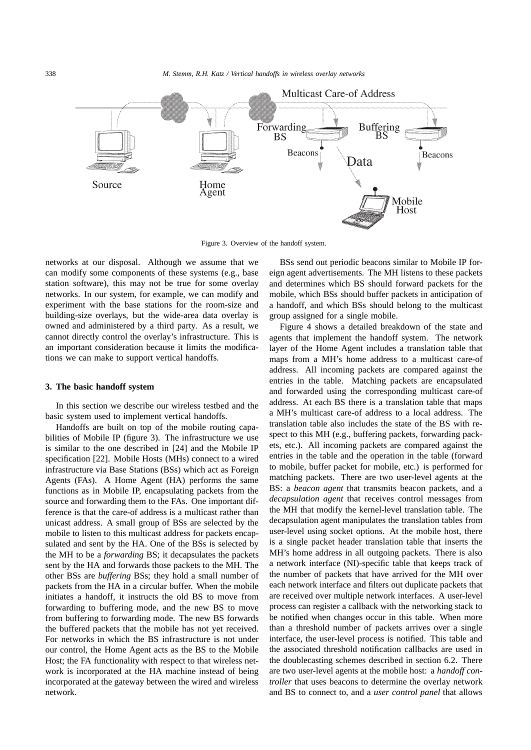

Figure 3. Overview of the handoff system.

networks at our disposal. Although we assume that we can modify some components of these systems (e.g., base station software), this may not be true for some overlay networks. In our system, for example, we can modify and experiment with the base stations for the room-size and building-size overlays, but the wide-area data overlay is owned and administered by a third party. As a result, we cannot directly control the overlay's infrastructure. This is an important consideration because it limits the modifications we can make to support vertical handoffs.

#### **3. The basic handoff system**

In this section we describe our wireless testbed and the basic system used to implement vertical handoffs.

Handoffs are built on top of the mobile routing capabilities of Mobile IP (figure 3). The infrastructure we use is similar to the one described in [24] and the Mobile IP specification [22]. Mobile Hosts (MHs) connect to a wired infrastructure via Base Stations (BSs) which act as Foreign Agents (FAs). A Home Agent (HA) performs the same functions as in Mobile IP, encapsulating packets from the source and forwarding them to the FAs. One important difference is that the care-of address is a multicast rather than unicast address. A small group of BSs are selected by the mobile to listen to this multicast address for packets encapsulated and sent by the HA. One of the BSs is selected by the MH to be a *forwarding* BS; it decapsulates the packets sent by the HA and forwards those packets to the MH. The other BSs are *buffering* BSs; they hold a small number of packets from the HA in a circular buffer. When the mobile initiates a handoff, it instructs the old BS to move from forwarding to buffering mode, and the new BS to move from buffering to forwarding mode. The new BS forwards the buffered packets that the mobile has not yet received. For networks in which the BS infrastructure is not under our control, the Home Agent acts as the BS to the Mobile Host; the FA functionality with respect to that wireless network is incorporated at the HA machine instead of being incorporated at the gateway between the wired and wireless network.

BSs send out periodic beacons similar to Mobile IP foreign agent advertisements. The MH listens to these packets and determines which BS should forward packets for the mobile, which BSs should buffer packets in anticipation of a handoff, and which BSs should belong to the multicast group assigned for a single mobile.

Figure 4 shows a detailed breakdown of the state and agents that implement the handoff system. The network layer of the Home Agent includes a translation table that maps from a MH's home address to a multicast care-of address. All incoming packets are compared against the entries in the table. Matching packets are encapsulated and forwarded using the corresponding multicast care-of address. At each BS there is a translation table that maps a MH's multicast care-of address to a local address. The translation table also includes the state of the BS with respect to this MH (e.g., buffering packets, forwarding packets, etc.). All incoming packets are compared against the entries in the table and the operation in the table (forward to mobile, buffer packet for mobile, etc.) is performed for matching packets. There are two user-level agents at the BS: a *beacon agent* that transmits beacon packets, and a *decapsulation agent* that receives control messages from the MH that modify the kernel-level translation table. The decapsulation agent manipulates the translation tables from user-level using socket options. At the mobile host, there is a single packet header translation table that inserts the MH's home address in all outgoing packets. There is also a network interface (NI)-specific table that keeps track of the number of packets that have arrived for the MH over each network interface and filters out duplicate packets that are received over multiple network interfaces. A user-level process can register a callback with the networking stack to be notified when changes occur in this table. When more than a threshold number of packets arrives over a single interface, the user-level process is notified. This table and the associated threshold notification callbacks are used in the doublecasting schemes described in section 6.2. There are two user-level agents at the mobile host: a *handoff controller* that uses beacons to determine the overlay network and BS to connect to, and a *user control panel* that allows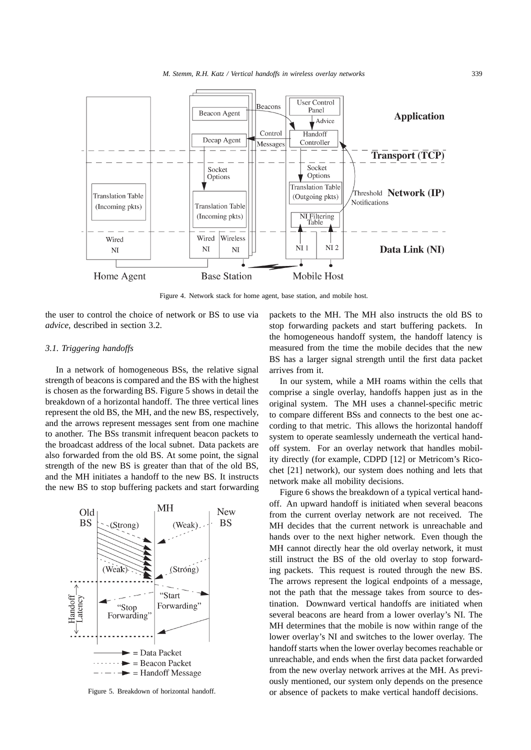![](_page_4_Figure_1.jpeg)

Figure 4. Network stack for home agent, base station, and mobile host.

the user to control the choice of network or BS to use via *advice*, described in section 3.2.

#### *3.1. Triggering handoffs*

In a network of homogeneous BSs, the relative signal strength of beacons is compared and the BS with the highest is chosen as the forwarding BS. Figure 5 shows in detail the breakdown of a horizontal handoff. The three vertical lines represent the old BS, the MH, and the new BS, respectively, and the arrows represent messages sent from one machine to another. The BSs transmit infrequent beacon packets to the broadcast address of the local subnet. Data packets are also forwarded from the old BS. At some point, the signal strength of the new BS is greater than that of the old BS, and the MH initiates a handoff to the new BS. It instructs the new BS to stop buffering packets and start forwarding

![](_page_4_Figure_6.jpeg)

Figure 5. Breakdown of horizontal handoff.

packets to the MH. The MH also instructs the old BS to stop forwarding packets and start buffering packets. In the homogeneous handoff system, the handoff latency is measured from the time the mobile decides that the new BS has a larger signal strength until the first data packet arrives from it.

In our system, while a MH roams within the cells that comprise a single overlay, handoffs happen just as in the original system. The MH uses a channel-specific metric to compare different BSs and connects to the best one according to that metric. This allows the horizontal handoff system to operate seamlessly underneath the vertical handoff system. For an overlay network that handles mobility directly (for example, CDPD [12] or Metricom's Ricochet [21] network), our system does nothing and lets that network make all mobility decisions.

Figure 6 shows the breakdown of a typical vertical handoff. An upward handoff is initiated when several beacons from the current overlay network are not received. The MH decides that the current network is unreachable and hands over to the next higher network. Even though the MH cannot directly hear the old overlay network, it must still instruct the BS of the old overlay to stop forwarding packets. This request is routed through the new BS. The arrows represent the logical endpoints of a message, not the path that the message takes from source to destination. Downward vertical handoffs are initiated when several beacons are heard from a lower overlay's NI. The MH determines that the mobile is now within range of the lower overlay's NI and switches to the lower overlay. The handoff starts when the lower overlay becomes reachable or unreachable, and ends when the first data packet forwarded from the new overlay network arrives at the MH. As previously mentioned, our system only depends on the presence or absence of packets to make vertical handoff decisions.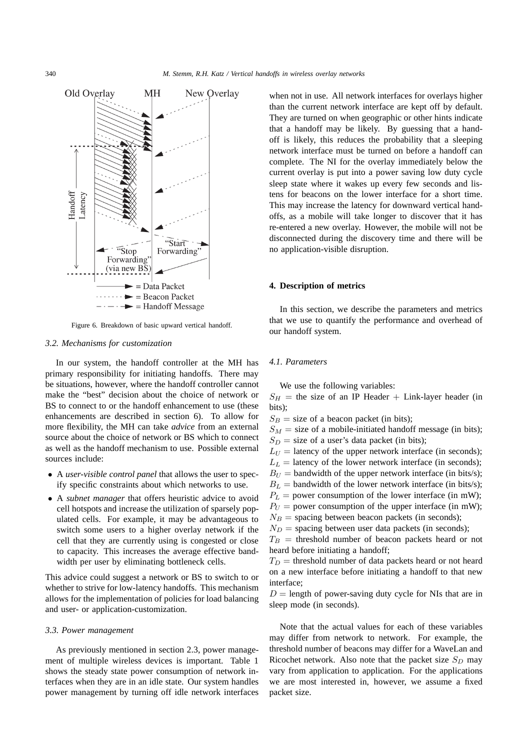![](_page_5_Figure_1.jpeg)

Figure 6. Breakdown of basic upward vertical handoff.

# *3.2. Mechanisms for customization*

In our system, the handoff controller at the MH has primary responsibility for initiating handoffs. There may be situations, however, where the handoff controller cannot make the "best" decision about the choice of network or BS to connect to or the handoff enhancement to use (these enhancements are described in section 6). To allow for more flexibility, the MH can take *advice* from an external source about the choice of network or BS which to connect as well as the handoff mechanism to use. Possible external sources include:

- A *user-visible control panel* that allows the user to specify specific constraints about which networks to use.
- A *subnet manager* that offers heuristic advice to avoid cell hotspots and increase the utilization of sparsely populated cells. For example, it may be advantageous to switch some users to a higher overlay network if the cell that they are currently using is congested or close to capacity. This increases the average effective bandwidth per user by eliminating bottleneck cells.

This advice could suggest a network or BS to switch to or whether to strive for low-latency handoffs. This mechanism allows for the implementation of policies for load balancing and user- or application-customization.

## *3.3. Power management*

As previously mentioned in section 2.3, power management of multiple wireless devices is important. Table 1 shows the steady state power consumption of network interfaces when they are in an idle state. Our system handles power management by turning off idle network interfaces when not in use. All network interfaces for overlays higher than the current network interface are kept off by default. They are turned on when geographic or other hints indicate that a handoff may be likely. By guessing that a handoff is likely, this reduces the probability that a sleeping network interface must be turned on before a handoff can complete. The NI for the overlay immediately below the current overlay is put into a power saving low duty cycle sleep state where it wakes up every few seconds and listens for beacons on the lower interface for a short time. This may increase the latency for downward vertical handoffs, as a mobile will take longer to discover that it has re-entered a new overlay. However, the mobile will not be disconnected during the discovery time and there will be no application-visible disruption.

# **4. Description of metrics**

In this section, we describe the parameters and metrics that we use to quantify the performance and overhead of our handoff system.

# *4.1. Parameters*

We use the following variables:

 $S_H$  = the size of an IP Header + Link-layer header (in bits);

 $S_B$  = size of a beacon packet (in bits);

 $S_M$  = size of a mobile-initiated handoff message (in bits);  $S_D$  = size of a user's data packet (in bits);

 $L_U$  = latency of the upper network interface (in seconds);

 $L<sub>L</sub>$  = latency of the lower network interface (in seconds);

 $B_U =$  bandwidth of the upper network interface (in bits/s);

 $B_L$  = bandwidth of the lower network interface (in bits/s);

 $P_L$  = power consumption of the lower interface (in mW);

- $P_U$  = power consumption of the upper interface (in mW);
- $N_B$  = spacing between beacon packets (in seconds);
- $N_D$  = spacing between user data packets (in seconds);

 $T_B$  = threshold number of beacon packets heard or not heard before initiating a handoff;

 $T_D$  = threshold number of data packets heard or not heard on a new interface before initiating a handoff to that new interface;

 $D =$  length of power-saving duty cycle for NIs that are in sleep mode (in seconds).

Note that the actual values for each of these variables may differ from network to network. For example, the threshold number of beacons may differ for a WaveLan and Ricochet network. Also note that the packet size  $S_D$  may vary from application to application. For the applications we are most interested in, however, we assume a fixed packet size.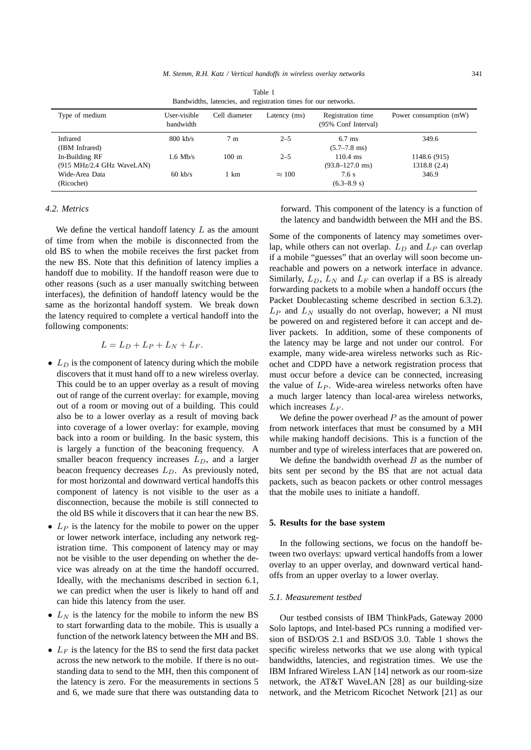| Type of medium                                                | User-visible<br>bandwidth | Cell diameter   | Latency (ms)  | Registration time<br>(95% Conf Interval) | Power consumption (mW)       |
|---------------------------------------------------------------|---------------------------|-----------------|---------------|------------------------------------------|------------------------------|
| <b>Infrared</b><br>(IBM Infrared)                             | $800 \text{ kb/s}$        | 7 <sub>m</sub>  | $2 - 5$       | $6.7 \text{ ms}$<br>$(5.7 - 7.8$ ms)     | 349.6                        |
| In-Building RF<br>$(915 \text{ MHz}/2.4 \text{ GHz}$ WaveLAN) | $1.6$ Mb/s                | $100 \text{ m}$ | $2 - 5$       | $110.4$ ms<br>$(93.8 - 127.0$ ms)        | 1148.6 (915)<br>1318.8 (2.4) |
| Wide-Area Data<br>(Ricochet)                                  | $60 \text{ kb/s}$         | 1 km            | $\approx 100$ | 7.6s<br>$(6.3 - 8.9 s)$                  | 346.9                        |

Table 1 Bandwidths, latencies, and registration times for our networks.

# *4.2. Metrics*

We define the vertical handoff latency  $L$  as the amount of time from when the mobile is disconnected from the old BS to when the mobile receives the first packet from the new BS. Note that this definition of latency implies a handoff due to mobility. If the handoff reason were due to other reasons (such as a user manually switching between interfaces), the definition of handoff latency would be the same as the horizontal handoff system. We break down the latency required to complete a vertical handoff into the following components:

$$
L = L_D + L_P + L_N + L_F.
$$

- $L_D$  is the component of latency during which the mobile discovers that it must hand off to a new wireless overlay. This could be to an upper overlay as a result of moving out of range of the current overlay: for example, moving out of a room or moving out of a building. This could also be to a lower overlay as a result of moving back into coverage of a lower overlay: for example, moving back into a room or building. In the basic system, this is largely a function of the beaconing frequency. A smaller beacon frequency increases  $L_D$ , and a larger beacon frequency decreases  $L<sub>D</sub>$ . As previously noted, for most horizontal and downward vertical handoffs this component of latency is not visible to the user as a disconnection, because the mobile is still connected to the old BS while it discovers that it can hear the new BS.
- $L_P$  is the latency for the mobile to power on the upper or lower network interface, including any network registration time. This component of latency may or may not be visible to the user depending on whether the device was already on at the time the handoff occurred. Ideally, with the mechanisms described in section 6.1, we can predict when the user is likely to hand off and can hide this latency from the user.
- $L_N$  is the latency for the mobile to inform the new BS to start forwarding data to the mobile. This is usually a function of the network latency between the MH and BS.
- $L_F$  is the latency for the BS to send the first data packet across the new network to the mobile. If there is no outstanding data to send to the MH, then this component of the latency is zero. For the measurements in sections 5 and 6, we made sure that there was outstanding data to

forward. This component of the latency is a function of the latency and bandwidth between the MH and the BS.

Some of the components of latency may sometimes overlap, while others can not overlap.  $L_D$  and  $L_P$  can overlap if a mobile "guesses" that an overlay will soon become unreachable and powers on a network interface in advance. Similarly,  $L_D$ ,  $L_N$  and  $L_F$  can overlap if a BS is already forwarding packets to a mobile when a handoff occurs (the Packet Doublecasting scheme described in section 6.3.2).  $L_P$  and  $L_N$  usually do not overlap, however; a NI must be powered on and registered before it can accept and deliver packets. In addition, some of these components of the latency may be large and not under our control. For example, many wide-area wireless networks such as Ricochet and CDPD have a network registration process that must occur before a device can be connected, increasing the value of  $L_P$ . Wide-area wireless networks often have a much larger latency than local-area wireless networks, which increases  $L_F$ .

We define the power overhead  $P$  as the amount of power from network interfaces that must be consumed by a MH while making handoff decisions. This is a function of the number and type of wireless interfaces that are powered on.

We define the bandwidth overhead  $B$  as the number of bits sent per second by the BS that are not actual data packets, such as beacon packets or other control messages that the mobile uses to initiate a handoff.

## **5. Results for the base system**

In the following sections, we focus on the handoff between two overlays: upward vertical handoffs from a lower overlay to an upper overlay, and downward vertical handoffs from an upper overlay to a lower overlay.

# *5.1. Measurement testbed*

Our testbed consists of IBM ThinkPads, Gateway 2000 Solo laptops, and Intel-based PCs running a modified version of BSD/OS 2.1 and BSD/OS 3.0. Table 1 shows the specific wireless networks that we use along with typical bandwidths, latencies, and registration times. We use the IBM Infrared Wireless LAN [14] network as our room-size network, the AT&T WaveLAN [28] as our building-size network, and the Metricom Ricochet Network [21] as our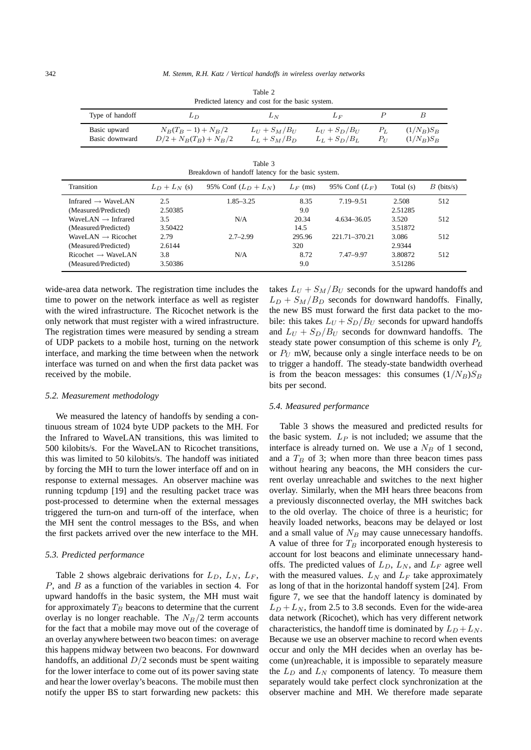| Treateled fatelly and cost for the basic system. |                                                  |                                              |                                          |                |                              |  |  |
|--------------------------------------------------|--------------------------------------------------|----------------------------------------------|------------------------------------------|----------------|------------------------------|--|--|
| Type of handoff                                  | L D.                                             | $L_N$                                        | Lғ                                       |                |                              |  |  |
| Basic upward<br>Basic downward                   | $N_B(T_B-1) + N_B/2$<br>$D/2 + N_B(T_B) + N_B/2$ | $L_{II} + S_M / B_{II}$<br>$L_L + S_M / B_D$ | $L_{II} + S_D/B_{II}$<br>$L_L + S_D/B_L$ | $P_L$<br>$P_U$ | $(1/N_B)S_B$<br>$(1/N_B)S_B$ |  |  |

Table 2 Predicted latency and cost for the basic system.

|                                                    | Table 3 |  |  |
|----------------------------------------------------|---------|--|--|
| Breakdown of handoff latency for the basic system. |         |  |  |

| Transition                                             | $L_D + L_N$ (s) | 95% Conf $(L_D + L_N)$ | $L_F$ (ms)   | 95% Conf $(L_F)$ | Total (s)        | $B$ (bits/s) |
|--------------------------------------------------------|-----------------|------------------------|--------------|------------------|------------------|--------------|
| Infrared $\rightarrow$ Wavel AN                        | 2.5             | $1.85 - 3.25$          | 8.35         | 7.19–9.51        | 2.508            | 512          |
| (Measured/Predicted)<br>WaveLAN $\rightarrow$ Infrared | 2.50385<br>3.5  | N/A                    | 9.0<br>20.34 | 4.634-36.05      | 2.51285<br>3.520 | 512          |
| (Measured/Predicted)                                   | 3.50422         |                        | 14.5         |                  | 3.51872          |              |
| WaveLAN $\rightarrow$ Ricochet                         | 2.79            | $2.7 - 2.99$           | 295.96       | 221.71-370.21    | 3.086            | 512          |
| (Measured/Predicted)                                   | 2.6144          |                        | 320          |                  | 2.9344           |              |
| $Ricochet \rightarrow WaveLAN$                         | 3.8             | N/A                    | 8.72         | 7.47-9.97        | 3.80872          | 512          |
| (Measured/Predicted)                                   | 3.50386         |                        | 9.0          |                  | 3.51286          |              |

wide-area data network. The registration time includes the time to power on the network interface as well as register with the wired infrastructure. The Ricochet network is the only network that must register with a wired infrastructure. The registration times were measured by sending a stream of UDP packets to a mobile host, turning on the network interface, and marking the time between when the network interface was turned on and when the first data packet was received by the mobile.

#### *5.2. Measurement methodology*

We measured the latency of handoffs by sending a continuous stream of 1024 byte UDP packets to the MH. For the Infrared to WaveLAN transitions, this was limited to 500 kilobits/s. For the WaveLAN to Ricochet transitions, this was limited to 50 kilobits/s. The handoff was initiated by forcing the MH to turn the lower interface off and on in response to external messages. An observer machine was running tcpdump [19] and the resulting packet trace was post-processed to determine when the external messages triggered the turn-on and turn-off of the interface, when the MH sent the control messages to the BSs, and when the first packets arrived over the new interface to the MH.

# *5.3. Predicted performance*

Table 2 shows algebraic derivations for  $L_D$ ,  $L_N$ ,  $L_F$ , P, and B as a function of the variables in section 4. For upward handoffs in the basic system, the MH must wait for approximately  $T_B$  beacons to determine that the current overlay is no longer reachable. The  $N_B/2$  term accounts for the fact that a mobile may move out of the coverage of an overlay anywhere between two beacon times: on average this happens midway between two beacons. For downward handoffs, an additional  $D/2$  seconds must be spent waiting for the lower interface to come out of its power saving state and hear the lower overlay's beacons. The mobile must then notify the upper BS to start forwarding new packets: this

takes  $L_U + S_M/B_U$  seconds for the upward handoffs and  $L_D + S_M/B_D$  seconds for downward handoffs. Finally, the new BS must forward the first data packet to the mobile: this takes  $L_U + S_D/B_U$  seconds for upward handoffs and  $L_U + S_D/B_U$  seconds for downward handoffs. The steady state power consumption of this scheme is only  $P_L$ or  $P_U$  mW, because only a single interface needs to be on to trigger a handoff. The steady-state bandwidth overhead is from the beacon messages: this consumes  $(1/N_B)S_B$ bits per second.

### *5.4. Measured performance*

Table 3 shows the measured and predicted results for the basic system.  $L_P$  is not included; we assume that the interface is already turned on. We use a  $N_B$  of 1 second, and a  $T_B$  of 3; when more than three beacon times pass without hearing any beacons, the MH considers the current overlay unreachable and switches to the next higher overlay. Similarly, when the MH hears three beacons from a previously disconnected overlay, the MH switches back to the old overlay. The choice of three is a heuristic; for heavily loaded networks, beacons may be delayed or lost and a small value of  $N_B$  may cause unnecessary handoffs. A value of three for  $T_B$  incorporated enough hysteresis to account for lost beacons and eliminate unnecessary handoffs. The predicted values of  $L_D$ ,  $L_N$ , and  $L_F$  agree well with the measured values.  $L_N$  and  $L_F$  take approximately as long of that in the horizontal handoff system [24]. From figure 7, we see that the handoff latency is dominated by  $L_D + L_N$ , from 2.5 to 3.8 seconds. Even for the wide-area data network (Ricochet), which has very different network characteristics, the handoff time is dominated by  $L_D + L_N$ . Because we use an observer machine to record when events occur and only the MH decides when an overlay has become (un)reachable, it is impossible to separately measure the  $L_D$  and  $L_N$  components of latency. To measure them separately would take perfect clock synchronization at the observer machine and MH. We therefore made separate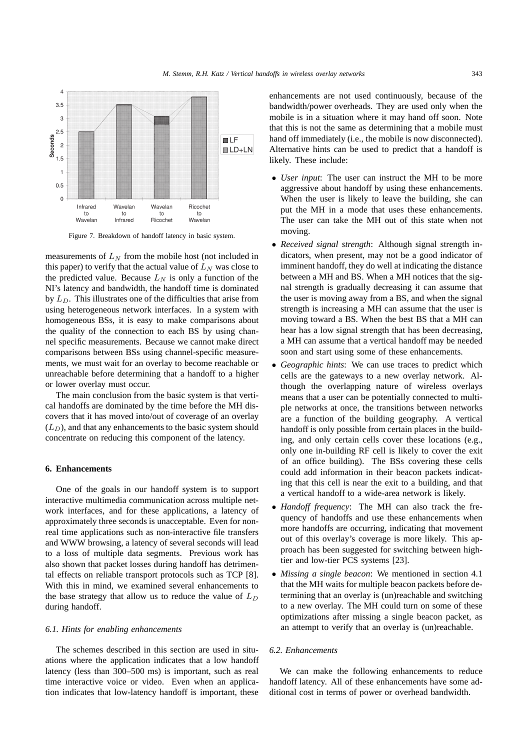![](_page_8_Figure_1.jpeg)

Figure 7. Breakdown of handoff latency in basic system.

measurements of  $L<sub>N</sub>$  from the mobile host (not included in this paper) to verify that the actual value of  $L<sub>N</sub>$  was close to the predicted value. Because  $L<sub>N</sub>$  is only a function of the NI's latency and bandwidth, the handoff time is dominated by  $L<sub>D</sub>$ . This illustrates one of the difficulties that arise from using heterogeneous network interfaces. In a system with homogeneous BSs, it is easy to make comparisons about the quality of the connection to each BS by using channel specific measurements. Because we cannot make direct comparisons between BSs using channel-specific measurements, we must wait for an overlay to become reachable or unreachable before determining that a handoff to a higher or lower overlay must occur.

The main conclusion from the basic system is that vertical handoffs are dominated by the time before the MH discovers that it has moved into/out of coverage of an overlay  $(L_D)$ , and that any enhancements to the basic system should concentrate on reducing this component of the latency.

### **6. Enhancements**

One of the goals in our handoff system is to support interactive multimedia communication across multiple network interfaces, and for these applications, a latency of approximately three seconds is unacceptable. Even for nonreal time applications such as non-interactive file transfers and WWW browsing, a latency of several seconds will lead to a loss of multiple data segments. Previous work has also shown that packet losses during handoff has detrimental effects on reliable transport protocols such as TCP [8]. With this in mind, we examined several enhancements to the base strategy that allow us to reduce the value of  $L_D$ during handoff.

### *6.1. Hints for enabling enhancements*

The schemes described in this section are used in situations where the application indicates that a low handoff latency (less than 300–500 ms) is important, such as real time interactive voice or video. Even when an application indicates that low-latency handoff is important, these

enhancements are not used continuously, because of the bandwidth/power overheads. They are used only when the mobile is in a situation where it may hand off soon. Note that this is not the same as determining that a mobile must hand off immediately (i.e., the mobile is now disconnected). Alternative hints can be used to predict that a handoff is likely. These include:

- *User input*: The user can instruct the MH to be more aggressive about handoff by using these enhancements. When the user is likely to leave the building, she can put the MH in a mode that uses these enhancements. The user can take the MH out of this state when not moving.
- *Received signal strength*: Although signal strength indicators, when present, may not be a good indicator of imminent handoff, they do well at indicating the distance between a MH and BS. When a MH notices that the signal strength is gradually decreasing it can assume that the user is moving away from a BS, and when the signal strength is increasing a MH can assume that the user is moving toward a BS. When the best BS that a MH can hear has a low signal strength that has been decreasing, a MH can assume that a vertical handoff may be needed soon and start using some of these enhancements.
- *Geographic hints*: We can use traces to predict which cells are the gateways to a new overlay network. Although the overlapping nature of wireless overlays means that a user can be potentially connected to multiple networks at once, the transitions between networks are a function of the building geography. A vertical handoff is only possible from certain places in the building, and only certain cells cover these locations (e.g., only one in-building RF cell is likely to cover the exit of an office building). The BSs covering these cells could add information in their beacon packets indicating that this cell is near the exit to a building, and that a vertical handoff to a wide-area network is likely.
- *Handoff frequency*: The MH can also track the frequency of handoffs and use these enhancements when more handoffs are occurring, indicating that movement out of this overlay's coverage is more likely. This approach has been suggested for switching between hightier and low-tier PCS systems [23].
- *Missing a single beacon*: We mentioned in section 4.1 that the MH waits for multiple beacon packets before determining that an overlay is (un)reachable and switching to a new overlay. The MH could turn on some of these optimizations after missing a single beacon packet, as an attempt to verify that an overlay is (un)reachable.

# *6.2. Enhancements*

We can make the following enhancements to reduce handoff latency. All of these enhancements have some additional cost in terms of power or overhead bandwidth.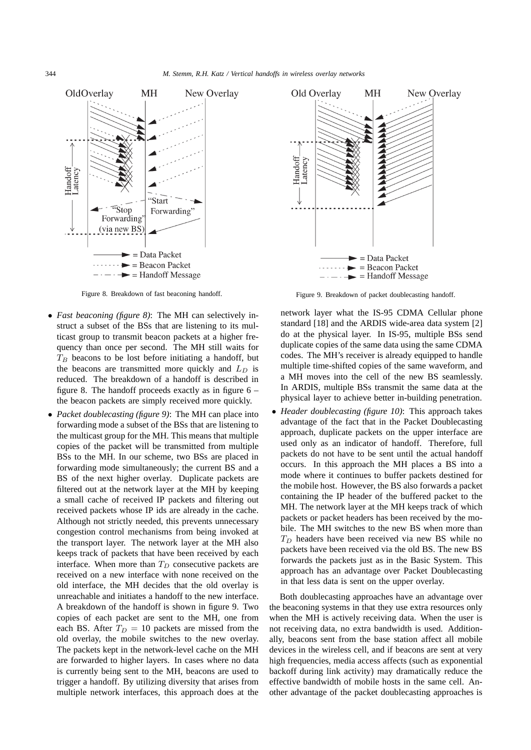![](_page_9_Figure_1.jpeg)

Figure 8. Breakdown of fast beaconing handoff.

- *Fast beaconing (figure 8)*: The MH can selectively instruct a subset of the BSs that are listening to its multicast group to transmit beacon packets at a higher frequency than once per second. The MH still waits for  $T_B$  beacons to be lost before initiating a handoff, but the beacons are transmitted more quickly and  $L_D$  is reduced. The breakdown of a handoff is described in figure 8. The handoff proceeds exactly as in figure  $6$ the beacon packets are simply received more quickly.
- *Packet doublecasting (figure 9)*: The MH can place into forwarding mode a subset of the BSs that are listening to the multicast group for the MH. This means that multiple copies of the packet will be transmitted from multiple BSs to the MH. In our scheme, two BSs are placed in forwarding mode simultaneously; the current BS and a BS of the next higher overlay. Duplicate packets are filtered out at the network layer at the MH by keeping a small cache of received IP packets and filtering out received packets whose IP ids are already in the cache. Although not strictly needed, this prevents unnecessary congestion control mechanisms from being invoked at the transport layer. The network layer at the MH also keeps track of packets that have been received by each interface. When more than  $T_D$  consecutive packets are received on a new interface with none received on the old interface, the MH decides that the old overlay is unreachable and initiates a handoff to the new interface. A breakdown of the handoff is shown in figure 9. Two copies of each packet are sent to the MH, one from each BS. After  $T_D = 10$  packets are missed from the old overlay, the mobile switches to the new overlay. The packets kept in the network-level cache on the MH are forwarded to higher layers. In cases where no data is currently being sent to the MH, beacons are used to trigger a handoff. By utilizing diversity that arises from multiple network interfaces, this approach does at the

![](_page_9_Figure_5.jpeg)

Figure 9. Breakdown of packet doublecasting handoff.

network layer what the IS-95 CDMA Cellular phone standard [18] and the ARDIS wide-area data system [2] do at the physical layer. In IS-95, multiple BSs send duplicate copies of the same data using the same CDMA codes. The MH's receiver is already equipped to handle multiple time-shifted copies of the same waveform, and a MH moves into the cell of the new BS seamlessly. In ARDIS, multiple BSs transmit the same data at the physical layer to achieve better in-building penetration.

• *Header doublecasting (figure 10)*: This approach takes advantage of the fact that in the Packet Doublecasting approach, duplicate packets on the upper interface are used only as an indicator of handoff. Therefore, full packets do not have to be sent until the actual handoff occurs. In this approach the MH places a BS into a mode where it continues to buffer packets destined for the mobile host. However, the BS also forwards a packet containing the IP header of the buffered packet to the MH. The network layer at the MH keeps track of which packets or packet headers has been received by the mobile. The MH switches to the new BS when more than  $T_D$  headers have been received via new BS while no packets have been received via the old BS. The new BS forwards the packets just as in the Basic System. This approach has an advantage over Packet Doublecasting in that less data is sent on the upper overlay.

Both doublecasting approaches have an advantage over the beaconing systems in that they use extra resources only when the MH is actively receiving data. When the user is not receiving data, no extra bandwidth is used. Additionally, beacons sent from the base station affect all mobile devices in the wireless cell, and if beacons are sent at very high frequencies, media access affects (such as exponential backoff during link activity) may dramatically reduce the effective bandwidth of mobile hosts in the same cell. Another advantage of the packet doublecasting approaches is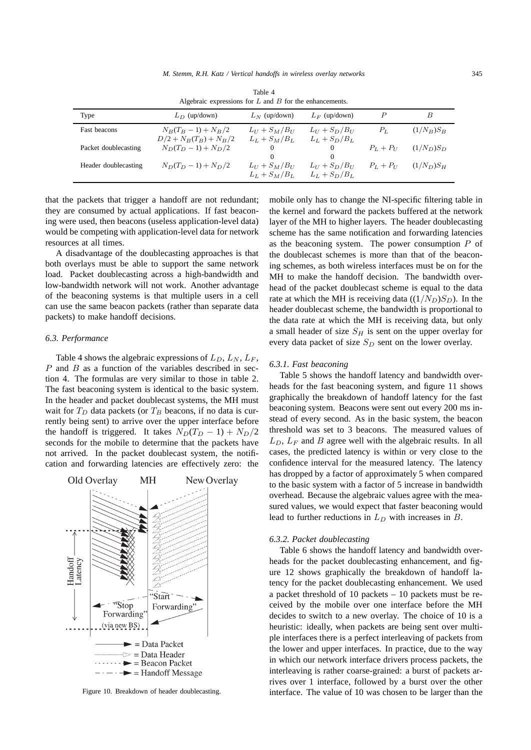| Algebraic expressions for $L$ and $B$ for the enhancements. |                                                  |                                            |                                          |                |              |  |  |
|-------------------------------------------------------------|--------------------------------------------------|--------------------------------------------|------------------------------------------|----------------|--------------|--|--|
| Type                                                        | $L_D$ (up/down)                                  | $LN$ (up/down)                             | $L_F$ (up/down)                          |                | В            |  |  |
| Fast beacons                                                | $N_B(T_B-1) + N_B/2$<br>$D/2 + N_B(T_B) + N_B/2$ | $L_{II}+S_M/B_{II}$<br>$L_L + S_M/B_L$     | $L_{II} + S_D/B_{II}$<br>$L_L + S_D/B_L$ | $P_L$          | $(1/N_B)S_B$ |  |  |
| Packet doublecasting                                        | $N_D(T_D - 1) + N_D/2$                           |                                            |                                          | $P_L + P_{II}$ | $(1/N_D)S_D$ |  |  |
| Header doublecasting                                        | $N_D(T_D-1) + N_D/2$                             | $L_{II} + S_M / B_{II}$<br>$L_L + S_M/B_L$ | $L_{II} + S_D/B_{II}$<br>$L_L + S_D/B_L$ | $P_L + P_U$    | $(1/N_D)S_H$ |  |  |

Table 4 Algebraic expressions for  $L$  and  $B$  for the enhancements.

that the packets that trigger a handoff are not redundant; they are consumed by actual applications. If fast beaconing were used, then beacons (useless application-level data) would be competing with application-level data for network resources at all times.

A disadvantage of the doublecasting approaches is that both overlays must be able to support the same network load. Packet doublecasting across a high-bandwidth and low-bandwidth network will not work. Another advantage of the beaconing systems is that multiple users in a cell can use the same beacon packets (rather than separate data packets) to make handoff decisions.

### *6.3. Performance*

Table 4 shows the algebraic expressions of  $L_D$ ,  $L_N$ ,  $L_F$ ,  $P$  and  $B$  as a function of the variables described in section 4. The formulas are very similar to those in table 2. The fast beaconing system is identical to the basic system. In the header and packet doublecast systems, the MH must wait for  $T_D$  data packets (or  $T_B$  beacons, if no data is currently being sent) to arrive over the upper interface before the handoff is triggered. It takes  $N_D(T_D - 1) + N_D/2$ seconds for the mobile to determine that the packets have not arrived. In the packet doublecast system, the notification and forwarding latencies are effectively zero: the

![](_page_10_Figure_7.jpeg)

Figure 10. Breakdown of header doublecasting.

mobile only has to change the NI-specific filtering table in the kernel and forward the packets buffered at the network layer of the MH to higher layers. The header doublecasting scheme has the same notification and forwarding latencies as the beaconing system. The power consumption  $P$  of the doublecast schemes is more than that of the beaconing schemes, as both wireless interfaces must be on for the MH to make the handoff decision. The bandwidth overhead of the packet doublecast scheme is equal to the data rate at which the MH is receiving data  $((1/N_D)S_D)$ . In the header doublecast scheme, the bandwidth is proportional to the data rate at which the MH is receiving data, but only a small header of size  $S_H$  is sent on the upper overlay for every data packet of size  $S_D$  sent on the lower overlay.

#### *6.3.1. Fast beaconing*

Table 5 shows the handoff latency and bandwidth overheads for the fast beaconing system, and figure 11 shows graphically the breakdown of handoff latency for the fast beaconing system. Beacons were sent out every 200 ms instead of every second. As in the basic system, the beacon threshold was set to 3 beacons. The measured values of  $L_D$ ,  $L_F$  and  $B$  agree well with the algebraic results. In all cases, the predicted latency is within or very close to the confidence interval for the measured latency. The latency has dropped by a factor of approximately 5 when compared to the basic system with a factor of 5 increase in bandwidth overhead. Because the algebraic values agree with the measured values, we would expect that faster beaconing would lead to further reductions in  $L<sub>D</sub>$  with increases in  $B$ .

#### *6.3.2. Packet doublecasting*

Table 6 shows the handoff latency and bandwidth overheads for the packet doublecasting enhancement, and figure 12 shows graphically the breakdown of handoff latency for the packet doublecasting enhancement. We used a packet threshold of 10 packets – 10 packets must be received by the mobile over one interface before the MH decides to switch to a new overlay. The choice of 10 is a heuristic: ideally, when packets are being sent over multiple interfaces there is a perfect interleaving of packets from the lower and upper interfaces. In practice, due to the way in which our network interface drivers process packets, the interleaving is rather coarse-grained: a burst of packets arrives over 1 interface, followed by a burst over the other interface. The value of 10 was chosen to be larger than the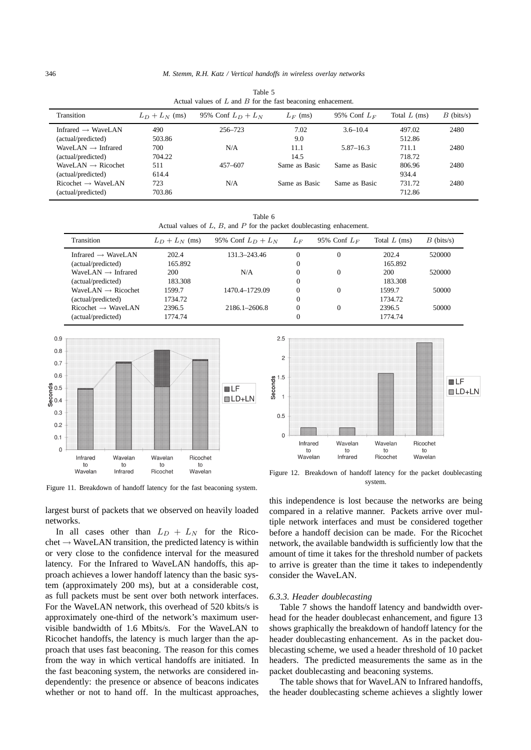|                                                      |                  | Actual values of $E$ and $E$ for the rast beacoming emiatement. |                       |                |                  |              |
|------------------------------------------------------|------------------|-----------------------------------------------------------------|-----------------------|----------------|------------------|--------------|
| Transition                                           | $L_D + L_N$ (ms) | 95% Conf $L_D + L_N$                                            | $L_F$ (ms)            | 95% Conf $L_F$ | Total $L$ (ms)   | $B$ (bits/s) |
| Infrared $\rightarrow$ WaveLAN<br>(actual/predicted) | 490<br>503.86    | 256-723                                                         | 7.02<br>9.0           | $3.6 - 10.4$   | 497.02<br>512.86 | 2480         |
| WaveLAN $\rightarrow$ Infrared                       | 700              | N/A                                                             | 11.1                  | $5.87 - 16.3$  | 711.1            | 2480         |
| (actual/predicted)<br>WaveLAN $\rightarrow$ Ricochet | 704.22<br>511    | $457 - 607$                                                     | 14.5<br>Same as Basic | Same as Basic  | 718.72<br>806.96 | 2480         |
| (actual/predicted)<br>$Ricochet \rightarrow WaveLAN$ | 614.4<br>723     | N/A                                                             | Same as Basic         | Same as Basic  | 934.4<br>731.72  | 2480         |
| (actual/predicted)                                   | 703.86           |                                                                 |                       |                | 712.86           |              |

Table 5 Actual values of L and  $\overline{D}$  for

Table 6 Actual values of L, B, and P for the packet doublecasting enhacement.

| <b>Transition</b>              | $L_D + L_N$ (ms) | 95% Conf $L_D + L_N$ | $L_F$    | 95% Conf $L_F$ | Total $L$ (ms) | $B$ (bits/s) |
|--------------------------------|------------------|----------------------|----------|----------------|----------------|--------------|
| Infrared $\rightarrow$ WaveLAN | 202.4            | 131.3–243.46         | $\Omega$ | $\Omega$       | 202.4          | 520000       |
| (actual/predicted)             | 165.892          |                      | 0        |                | 165.892        |              |
| WaveLAN $\rightarrow$ Infrared | 200              | N/A                  | $\Omega$ | $\Omega$       | 200            | 520000       |
| (actual/predicted)             | 183.308          |                      | 0        |                | 183.308        |              |
| WaveLAN $\rightarrow$ Ricochet | 1599.7           | 1470.4-1729.09       | 0        | $\Omega$       | 1599.7         | 50000        |
| (actual/predicted)             | 1734.72          |                      | 0        |                | 1734.72        |              |
| $Ricochet \rightarrow WaveLAN$ | 2396.5           | 2186.1-2606.8        | $\Omega$ | $\Omega$       | 2396.5         | 50000        |
| (actual/predicted)             | 1774.74          |                      | 0        |                | 1774.74        |              |

![](_page_11_Figure_5.jpeg)

Figure 11. Breakdown of handoff latency for the fast beaconing system.

largest burst of packets that we observed on heavily loaded networks.

In all cases other than  $L_D + L_N$  for the Rico $chet \rightarrow WaveLAN$  transition, the predicted latency is within or very close to the confidence interval for the measured latency. For the Infrared to WaveLAN handoffs, this approach achieves a lower handoff latency than the basic system (approximately 200 ms), but at a considerable cost, as full packets must be sent over both network interfaces. For the WaveLAN network, this overhead of 520 kbits/s is approximately one-third of the network's maximum uservisible bandwidth of 1.6 Mbits/s. For the WaveLAN to Ricochet handoffs, the latency is much larger than the approach that uses fast beaconing. The reason for this comes from the way in which vertical handoffs are initiated. In the fast beaconing system, the networks are considered independently: the presence or absence of beacons indicates whether or not to hand off. In the multicast approaches,

![](_page_11_Figure_9.jpeg)

Figure 12. Breakdown of handoff latency for the packet doublecasting system.

this independence is lost because the networks are being compared in a relative manner. Packets arrive over multiple network interfaces and must be considered together before a handoff decision can be made. For the Ricochet network, the available bandwidth is sufficiently low that the amount of time it takes for the threshold number of packets to arrive is greater than the time it takes to independently consider the WaveLAN.

### *6.3.3. Header doublecasting*

Table 7 shows the handoff latency and bandwidth overhead for the header doublecast enhancement, and figure 13 shows graphically the breakdown of handoff latency for the header doublecasting enhancement. As in the packet doublecasting scheme, we used a header threshold of 10 packet headers. The predicted measurements the same as in the packet doublecasting and beaconing systems.

The table shows that for WaveLAN to Infrared handoffs, the header doublecasting scheme achieves a slightly lower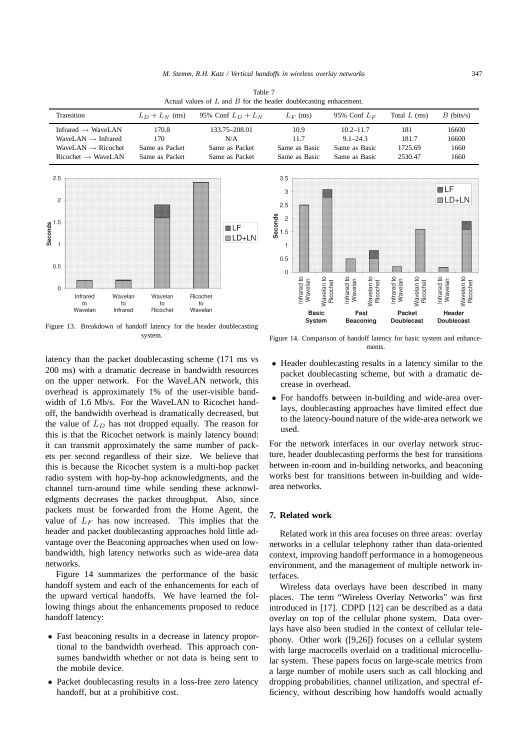| Table 7                                                               |  |
|-----------------------------------------------------------------------|--|
| Actual values of $L$ and $B$ for the header doublecasting enhacement. |  |

| Transition                                                                                                                           | $L_D + L_N$ (ms)                                 | 95% Conf $L_D + L_N$                                     | $L_F$ (ms)                                     | 95% Conf $L_F$                                                  | Total $L$ (ms)                     | $B$ (bits/s)                   |
|--------------------------------------------------------------------------------------------------------------------------------------|--------------------------------------------------|----------------------------------------------------------|------------------------------------------------|-----------------------------------------------------------------|------------------------------------|--------------------------------|
| Infrared $\rightarrow$ WaveLAN<br>WaveLAN $\rightarrow$ Infrared<br>WaveLAN $\rightarrow$ Ricochet<br>$Ricochet \rightarrow WaveLAN$ | 170.8<br>170<br>Same as Packet<br>Same as Packet | 133.75-208.01<br>N/A<br>Same as Packet<br>Same as Packet | 10.9<br>11.7<br>Same as Basic<br>Same as Basic | $10.2 - 11.7$<br>$9.1 - 24.3$<br>Same as Basic<br>Same as Basic | 181<br>181.7<br>1725.69<br>2530.47 | 16600<br>16600<br>1660<br>1660 |

![](_page_12_Figure_3.jpeg)

Figure 13. Breakdown of handoff latency for the header doublecasting system.

latency than the packet doublecasting scheme (171 ms vs 200 ms) with a dramatic decrease in bandwidth resources on the upper network. For the WaveLAN network, this overhead is approximately 1% of the user-visible bandwidth of 1.6 Mb/s. For the WaveLAN to Ricochet handoff, the bandwidth overhead is dramatically decreased, but the value of  $L_D$  has not dropped equally. The reason for this is that the Ricochet network is mainly latency bound: it can transmit approximately the same number of packets per second regardless of their size. We believe that this is because the Ricochet system is a multi-hop packet radio system with hop-by-hop acknowledgments, and the channel turn-around time while sending these acknowledgments decreases the packet throughput. Also, since packets must be forwarded from the Home Agent, the value of  $L_F$  has now increased. This implies that the header and packet doublecasting approaches hold little advantage over the Beaconing approaches when used on lowbandwidth, high latency networks such as wide-area data networks.

Figure 14 summarizes the performance of the basic handoff system and each of the enhancements for each of the upward vertical handoffs. We have learned the following things about the enhancements proposed to reduce handoff latency:

- Fast beaconing results in a decrease in latency proportional to the bandwidth overhead. This approach consumes bandwidth whether or not data is being sent to the mobile device.
- Packet doublecasting results in a loss-free zero latency handoff, but at a prohibitive cost.

Figure 14. Comparison of handoff latency for basic system and enhancements.

- Header doublecasting results in a latency similar to the packet doublecasting scheme, but with a dramatic decrease in overhead.
- For handoffs between in-building and wide-area overlays, doublecasting approaches have limited effect due to the latency-bound nature of the wide-area network we used.

For the network interfaces in our overlay network structure, header doublecasting performs the best for transitions between in-room and in-building networks, and beaconing works best for transitions between in-building and widearea networks.

# **7. Related work**

Related work in this area focuses on three areas: overlay networks in a cellular telephony rather than data-oriented context, improving handoff performance in a homogeneous environment, and the management of multiple network interfaces.

Wireless data overlays have been described in many places. The term "Wireless Overlay Networks" was first introduced in [17]. CDPD [12] can be described as a data overlay on top of the cellular phone system. Data overlays have also been studied in the context of cellular telephony. Other work ([9,26]) focuses on a cellular system with large macrocells overlaid on a traditional microcellular system. These papers focus on large-scale metrics from a large number of mobile users such as call blocking and dropping probabilities, channel utilization, and spectral efficiency, without describing how handoffs would actually

![](_page_12_Figure_17.jpeg)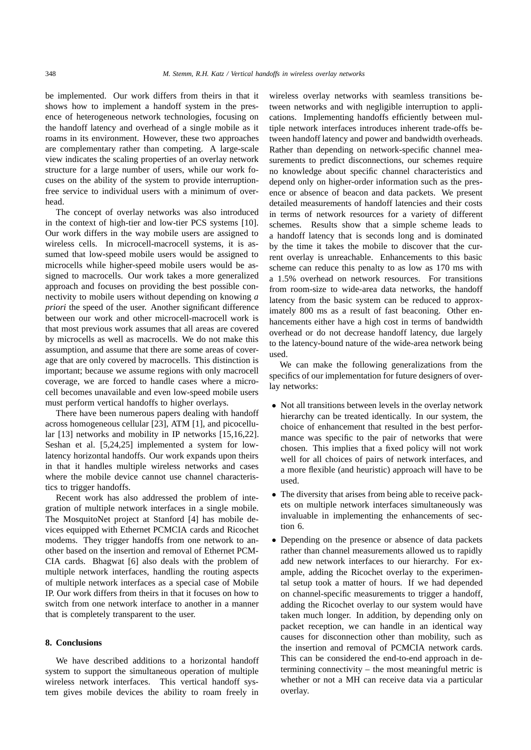be implemented. Our work differs from theirs in that it shows how to implement a handoff system in the presence of heterogeneous network technologies, focusing on the handoff latency and overhead of a single mobile as it roams in its environment. However, these two approaches are complementary rather than competing. A large-scale view indicates the scaling properties of an overlay network structure for a large number of users, while our work focuses on the ability of the system to provide interruptionfree service to individual users with a minimum of overhead.

The concept of overlay networks was also introduced in the context of high-tier and low-tier PCS systems [10]. Our work differs in the way mobile users are assigned to wireless cells. In microcell-macrocell systems, it is assumed that low-speed mobile users would be assigned to microcells while higher-speed mobile users would be assigned to macrocells. Our work takes a more generalized approach and focuses on providing the best possible connectivity to mobile users without depending on knowing *a priori* the speed of the user. Another significant difference between our work and other microcell-macrocell work is that most previous work assumes that all areas are covered by microcells as well as macrocells. We do not make this assumption, and assume that there are some areas of coverage that are only covered by macrocells. This distinction is important; because we assume regions with only macrocell coverage, we are forced to handle cases where a microcell becomes unavailable and even low-speed mobile users must perform vertical handoffs to higher overlays.

There have been numerous papers dealing with handoff across homogeneous cellular [23], ATM [1], and picocellular [13] networks and mobility in IP networks [15,16,22]. Seshan et al. [5,24,25] implemented a system for lowlatency horizontal handoffs. Our work expands upon theirs in that it handles multiple wireless networks and cases where the mobile device cannot use channel characteristics to trigger handoffs.

Recent work has also addressed the problem of integration of multiple network interfaces in a single mobile. The MosquitoNet project at Stanford [4] has mobile devices equipped with Ethernet PCMCIA cards and Ricochet modems. They trigger handoffs from one network to another based on the insertion and removal of Ethernet PCM-CIA cards. Bhagwat [6] also deals with the problem of multiple network interfaces, handling the routing aspects of multiple network interfaces as a special case of Mobile IP. Our work differs from theirs in that it focuses on how to switch from one network interface to another in a manner that is completely transparent to the user.

# **8. Conclusions**

We have described additions to a horizontal handoff system to support the simultaneous operation of multiple wireless network interfaces. This vertical handoff system gives mobile devices the ability to roam freely in

wireless overlay networks with seamless transitions between networks and with negligible interruption to applications. Implementing handoffs efficiently between multiple network interfaces introduces inherent trade-offs between handoff latency and power and bandwidth overheads. Rather than depending on network-specific channel measurements to predict disconnections, our schemes require no knowledge about specific channel characteristics and depend only on higher-order information such as the presence or absence of beacon and data packets. We present detailed measurements of handoff latencies and their costs in terms of network resources for a variety of different schemes. Results show that a simple scheme leads to a handoff latency that is seconds long and is dominated by the time it takes the mobile to discover that the current overlay is unreachable. Enhancements to this basic scheme can reduce this penalty to as low as 170 ms with a 1.5% overhead on network resources. For transitions from room-size to wide-area data networks, the handoff latency from the basic system can be reduced to approximately 800 ms as a result of fast beaconing. Other enhancements either have a high cost in terms of bandwidth overhead or do not decrease handoff latency, due largely to the latency-bound nature of the wide-area network being used.

We can make the following generalizations from the specifics of our implementation for future designers of overlay networks:

- Not all transitions between levels in the overlay network hierarchy can be treated identically. In our system, the choice of enhancement that resulted in the best performance was specific to the pair of networks that were chosen. This implies that a fixed policy will not work well for all choices of pairs of network interfaces, and a more flexible (and heuristic) approach will have to be used.
- The diversity that arises from being able to receive packets on multiple network interfaces simultaneously was invaluable in implementing the enhancements of section 6.
- Depending on the presence or absence of data packets rather than channel measurements allowed us to rapidly add new network interfaces to our hierarchy. For example, adding the Ricochet overlay to the experimental setup took a matter of hours. If we had depended on channel-specific measurements to trigger a handoff, adding the Ricochet overlay to our system would have taken much longer. In addition, by depending only on packet reception, we can handle in an identical way causes for disconnection other than mobility, such as the insertion and removal of PCMCIA network cards. This can be considered the end-to-end approach in determining connectivity – the most meaningful metric is whether or not a MH can receive data via a particular overlay.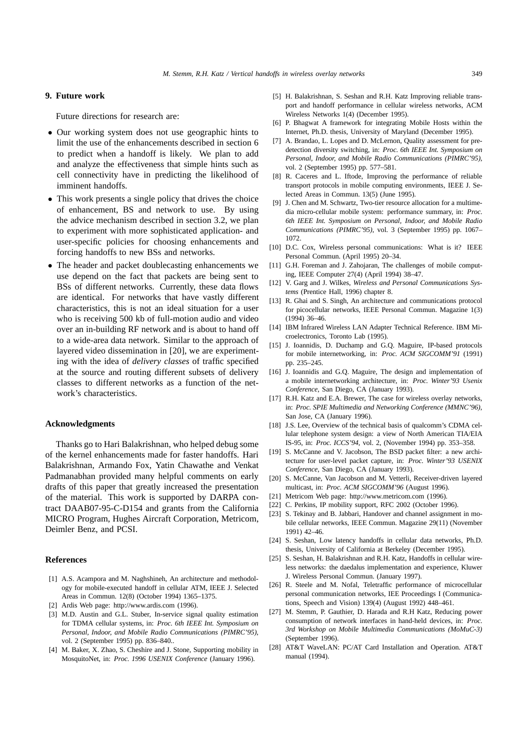# **9. Future work**

Future directions for research are:

- Our working system does not use geographic hints to limit the use of the enhancements described in section 6 to predict when a handoff is likely. We plan to add and analyze the effectiveness that simple hints such as cell connectivity have in predicting the likelihood of imminent handoffs.
- This work presents a single policy that drives the choice of enhancement, BS and network to use. By using the advice mechanism described in section 3.2, we plan to experiment with more sophisticated application- and user-specific policies for choosing enhancements and forcing handoffs to new BSs and networks.
- The header and packet doublecasting enhancements we use depend on the fact that packets are being sent to BSs of different networks. Currently, these data flows are identical. For networks that have vastly different characteristics, this is not an ideal situation for a user who is receiving 500 kb of full-motion audio and video over an in-building RF network and is about to hand off to a wide-area data network. Similar to the approach of layered video dissemination in [20], we are experimenting with the idea of *delivery classes* of traffic specified at the source and routing different subsets of delivery classes to different networks as a function of the network's characteristics.

## **Acknowledgments**

Thanks go to Hari Balakrishnan, who helped debug some of the kernel enhancements made for faster handoffs. Hari Balakrishnan, Armando Fox, Yatin Chawathe and Venkat Padmanabhan provided many helpful comments on early drafts of this paper that greatly increased the presentation of the material. This work is supported by DARPA contract DAAB07-95-C-D154 and grants from the California MICRO Program, Hughes Aircraft Corporation, Metricom, Deimler Benz, and PCSI.

#### **References**

- [1] A.S. Acampora and M. Naghshineh, An architecture and methodology for mobile-executed handoff in cellular ATM, IEEE J. Selected Areas in Commun. 12(8) (October 1994) 1365–1375.
- [2] Ardis Web page: http://www.ardis.com (1996).
- [3] M.D. Austin and G.L. Stuber, In-service signal quality estimation for TDMA cellular systems, in: *Proc. 6th IEEE Int. Symposium on Personal, Indoor, and Mobile Radio Communications (PIMRC'95)*, vol. 2 (September 1995) pp. 836–840..
- [4] M. Baker, X. Zhao, S. Cheshire and J. Stone, Supporting mobility in MosquitoNet, in: *Proc. 1996 USENIX Conference* (January 1996).
- [5] H. Balakrishnan, S. Seshan and R.H. Katz Improving reliable transport and handoff performance in cellular wireless networks, ACM Wireless Networks 1(4) (December 1995).
- [6] P. Bhagwat A framework for integrating Mobile Hosts within the Internet, Ph.D. thesis, University of Maryland (December 1995).
- [7] A. Brandao, L. Lopes and D. McLernon, Quality assessment for predetection diversity switching, in: *Proc. 6th IEEE Int. Symposium on Personal, Indoor, and Mobile Radio Communications (PIMRC'95)*, vol. 2 (September 1995) pp. 577–581.
- [8] R. Caceres and L. Iftode, Improving the performance of reliable transport protocols in mobile computing environments, IEEE J. Selected Areas in Commun. 13(5) (June 1995).
- [9] J. Chen and M. Schwartz, Two-tier resource allocation for a multimedia micro-cellular mobile system: performance summary, in: *Proc. 6th IEEE Int. Symposium on Personal, Indoor, and Mobile Radio Communications (PIMRC'95)*, vol. 3 (September 1995) pp. 1067– 1072.
- [10] D.C. Cox, Wireless personal communications: What is it? IEEE Personal Commun. (April 1995) 20–34.
- [11] G.H. Foreman and J. Zahojaran, The challenges of mobile computing, IEEE Computer 27(4) (April 1994) 38–47.
- [12] V. Garg and J. Wilkes, *Wireless and Personal Communications Systems* (Prentice Hall, 1996) chapter 8.
- [13] R. Ghai and S. Singh, An architecture and communications protocol for picocellular networks, IEEE Personal Commun. Magazine 1(3) (1994) 36–46.
- [14] IBM Infrared Wireless LAN Adapter Technical Reference. IBM Microelectronics, Toronto Lab (1995).
- [15] J. Ioannidis, D. Duchamp and G.Q. Maguire, IP-based protocols for mobile internetworking, in: *Proc. ACM SIGCOMM'91* (1991) pp. 235–245.
- [16] J. Ioannidis and G.Q. Maguire, The design and implementation of a mobile internetworking architecture, in: *Proc. Winter'93 Usenix Conference*, San Diego, CA (January 1993).
- [17] R.H. Katz and E.A. Brewer, The case for wireless overlay networks, in: *Proc. SPIE Multimedia and Networking Conference (MMNC'96)*, San Jose, CA (January 1996).
- [18] J.S. Lee, Overview of the technical basis of qualcomm's CDMA cellular telephone system design: a view of North American TIA/EIA IS-95, in: *Proc. ICCS'94*, vol. 2, (November 1994) pp. 353–358.
- [19] S. McCanne and V. Jacobson, The BSD packet filter: a new architecture for user-level packet capture, in: *Proc. Winter'93 USENIX Conference*, San Diego, CA (January 1993).
- [20] S. McCanne, Van Jacobson and M. Vetterli, Receiver-driven layered multicast, in: *Proc. ACM SIGCOMM'96* (August 1996).
- [21] Metricom Web page: http://www.metricom.com (1996).
- [22] C. Perkins, IP mobility support, RFC 2002 (October 1996).
- [23] S. Tekinay and B. Jabbari, Handover and channel assignment in mobile cellular networks, IEEE Commun. Magazine 29(11) (November 1991) 42–46.
- [24] S. Seshan, Low latency handoffs in cellular data networks, Ph.D. thesis, University of California at Berkeley (December 1995).
- [25] S. Seshan, H. Balakrishnan and R.H. Katz, Handoffs in cellular wireless networks: the daedalus implementation and experience, Kluwer J. Wireless Personal Commun. (January 1997).
- [26] R. Steele and M. Nofal, Teletraffic performance of microcellular personal communication networks, IEE Proceedings I (Communications, Speech and Vision) 139(4) (August 1992) 448–461.
- [27] M. Stemm, P. Gauthier, D. Harada and R.H Katz, Reducing power consumption of network interfaces in hand-held devices, in: *Proc. 3rd Workshop on Mobile Multimedia Communications (MoMuC-3)* (September 1996).
- [28] AT&T WaveLAN: PC/AT Card Installation and Operation. AT&T manual (1994).